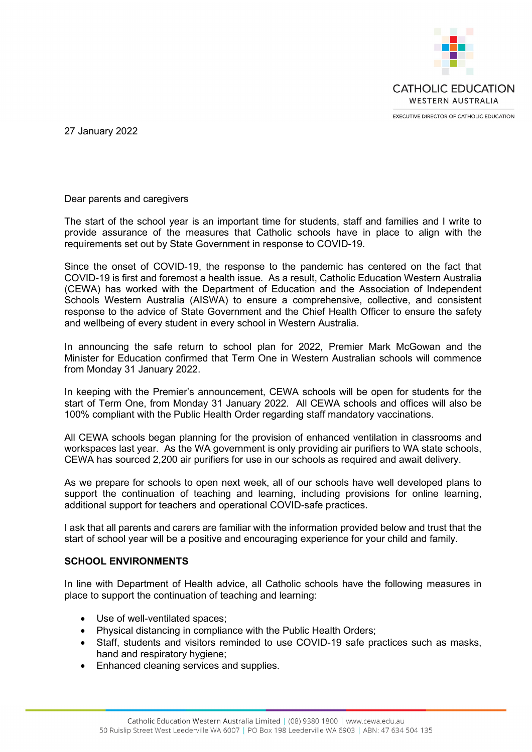

27 January 2022

Dear parents and caregivers

The start of the school year is an important time for students, staff and families and I write to provide assurance of the measures that Catholic schools have in place to align with the requirements set out by State Government in response to COVID-19.

Since the onset of COVID-19, the response to the pandemic has centered on the fact that COVID-19 is first and foremost a health issue. As a result, Catholic Education Western Australia (CEWA) has worked with the Department of Education and the Association of Independent Schools Western Australia (AISWA) to ensure a comprehensive, collective, and consistent response to the advice of State Government and the Chief Health Officer to ensure the safety and wellbeing of every student in every school in Western Australia.

In announcing the safe return to school plan for 2022, Premier Mark McGowan and the Minister for Education confirmed that Term One in Western Australian schools will commence from Monday 31 January 2022.

In keeping with the Premier's announcement, CEWA schools will be open for students for the start of Term One, from Monday 31 January 2022. All CEWA schools and offices will also be 100% compliant with the Public Health Order regarding staff mandatory vaccinations.

All CEWA schools began planning for the provision of enhanced ventilation in classrooms and workspaces last year. As the WA government is only providing air purifiers to WA state schools, CEWA has sourced 2,200 air purifiers for use in our schools as required and await delivery.

As we prepare for schools to open next week, all of our schools have well developed plans to support the continuation of teaching and learning, including provisions for online learning, additional support for teachers and operational COVID-safe practices.

I ask that all parents and carers are familiar with the information provided below and trust that the start of school year will be a positive and encouraging experience for your child and family.

## **SCHOOL ENVIRONMENTS**

In line with Department of Health advice, all Catholic schools have the following measures in place to support the continuation of teaching and learning:

- Use of well-ventilated spaces;
- Physical distancing in compliance with the Public Health Orders;
- Staff, students and visitors reminded to use COVID-19 safe practices such as masks, hand and respiratory hygiene;
- Enhanced cleaning services and supplies.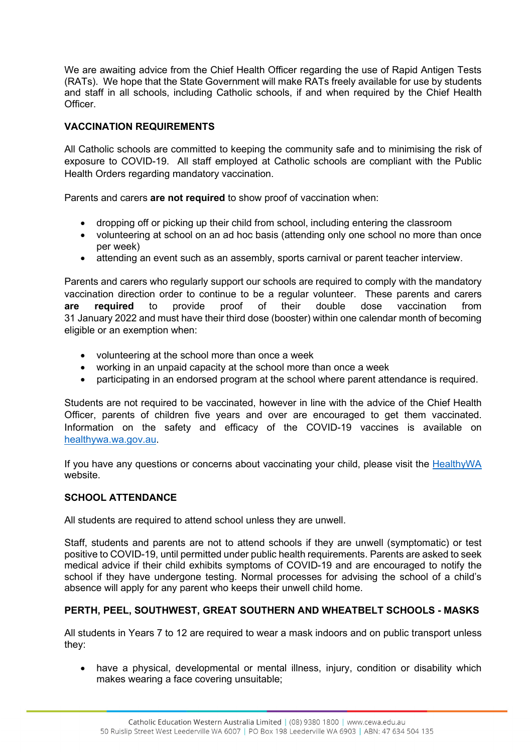We are awaiting advice from the Chief Health Officer regarding the use of Rapid Antigen Tests (RATs). We hope that the State Government will make RATs freely available for use by students and staff in all schools, including Catholic schools, if and when required by the Chief Health **Officer** 

## **VACCINATION REQUIREMENTS**

All Catholic schools are committed to keeping the community safe and to minimising the risk of exposure to COVID-19. All staff employed at Catholic schools are compliant with the Public Health Orders regarding mandatory vaccination.

Parents and carers **are not required** to show proof of vaccination when:

- dropping off or picking up their child from school, including entering the classroom
- volunteering at school on an ad hoc basis (attending only one school no more than once per week)
- attending an event such as an assembly, sports carnival or parent teacher interview.

Parents and carers who regularly support our schools are required to comply with the mandatory vaccination direction order to continue to be a regular volunteer. These parents and carers **are required** to provide proof of their double dose vaccination from 31 January 2022 and must have their third dose (booster) within one calendar month of becoming eligible or an exemption when:

- volunteering at the school more than once a week
- working in an unpaid capacity at the school more than once a week
- participating in an endorsed program at the school where parent attendance is required.

Students are not required to be vaccinated, however in line with the advice of the Chief Health Officer, parents of children five years and over are encouraged to get them vaccinated. Information on the safety and efficacy of the COVID-19 vaccines is available on [healthywa.wa.gov.au.](http://www.healthywa.wa.gov.au/)

If you have any questions or concerns about vaccinating your child, please visit the  $HealthvWA$ </u> website.

## **SCHOOL ATTENDANCE**

All students are required to attend school unless they are unwell.

Staff, students and parents are not to attend schools if they are unwell (symptomatic) or test positive to COVID-19, until permitted under public health requirements. Parents are asked to seek medical advice if their child exhibits symptoms of COVID-19 and are encouraged to notify the school if they have undergone testing. Normal processes for advising the school of a child's absence will apply for any parent who keeps their unwell child home.

## **PERTH, PEEL, SOUTHWEST, GREAT SOUTHERN AND WHEATBELT SCHOOLS - MASKS**

All students in Years 7 to 12 are required to wear a mask indoors and on public transport unless they:

• have a physical, developmental or mental illness, injury, condition or disability which makes wearing a face covering unsuitable;